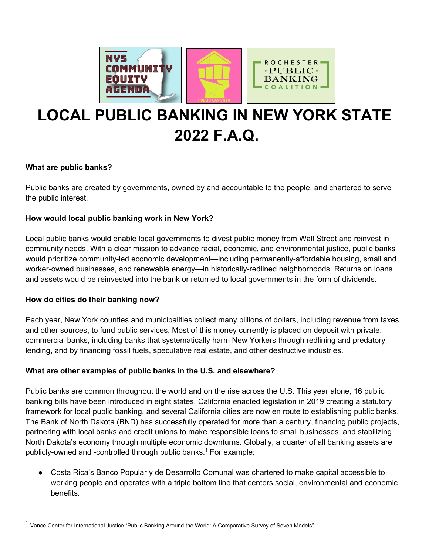



**ROCHESTER**  $\cdot$ PUBLIC $\cdot$ 



### **What are public banks?**

Public banks are created by governments, owned by and accountable to the people, and chartered to serve the public interest.

### **How would local public banking work in New York?**

Local public banks would enable local governments to divest public money from Wall Street and reinvest in community needs. With a clear mission to advance racial, economic, and environmental justice, public banks would prioritize community-led economic development—including permanently-affordable housing, small and worker-owned businesses, and renewable energy—in historically-redlined neighborhoods. Returns on loans and assets would be reinvested into the bank or returned to local governments in the form of dividends.

### **How do cities do their banking now?**

Each year, New York counties and municipalities collect many billions of dollars, including revenue from taxes and other sources, to fund public services. Most of this money currently is placed on deposit with private, commercial banks, including banks that systematically harm New Yorkers through redlining and predatory lending, and by financing fossil fuels, speculative real estate, and other destructive industries.

## **What are other examples of public banks in the U.S. and elsewhere?**

Public banks are common throughout the world and on the rise across the U.S. This year alone, 16 public banking bills have been introduced in eight states. California enacted legislation in 2019 creating a statutory framework for local public banking, and several California cities are now en route to establishing public banks. The Bank of North Dakota (BND) has successfully operated for more than a century, financing public projects, partnering with local banks and credit unions to make responsible loans to small businesses, and stabilizing North Dakota's economy through multiple economic downturns. Globally, a quarter of all banking assets are publicly-owned and -controlled through public banks.<sup>1</sup> For example:

Costa Rica's Banco Popular y de Desarrollo Comunal was chartered to make capital accessible to working people and operates with a triple bottom line that centers social, environmental and economic benefits.

 $1$  Vance Center for International Justice "Public Banking Around the World: A Comparative Survey of Seven Models"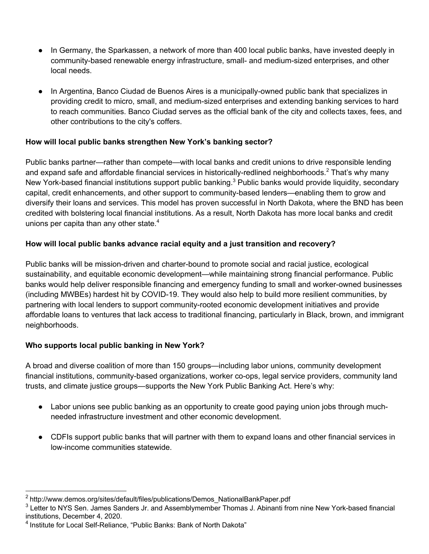- In Germany, the Sparkassen, a network of more than 400 local public banks, have invested deeply in community-based renewable energy infrastructure, small- and medium-sized enterprises, and other local needs.
- In Argentina, Banco Ciudad de Buenos Aires is a municipally-owned public bank that specializes in providing credit to micro, small, and medium-sized enterprises and extending banking services to hard to reach communities. Banco Ciudad serves as the official bank of the city and collects taxes, fees, and other contributions to the city's coffers.

# **How will local public banks strengthen New York's banking sector?**

Public banks partner—rather than compete—with local banks and credit unions to drive responsible lending and expand safe and affordable financial services in historically-redlined neighborhoods.<sup>2</sup> That's why many New York-based financial institutions support public banking.<sup>3</sup> Public banks would provide liquidity, secondary capital, credit enhancements, and other support to community-based lenders—enabling them to grow and diversify their loans and services. This model has proven successful in North Dakota, where the BND has been credited with bolstering local financial institutions. As a result, North Dakota has more local banks and credit unions per capita than any other state. $4$ 

# **How will local public banks advance racial equity and a just transition and recovery?**

Public banks will be mission-driven and charter-bound to promote social and racial justice, ecological sustainability, and equitable economic development—while maintaining strong financial performance. Public banks would help deliver responsible financing and emergency funding to small and worker-owned businesses (including MWBEs) hardest hit by COVID-19. They would also help to build more resilient communities, by partnering with local lenders to support community-rooted economic development initiatives and provide affordable loans to ventures that lack access to traditional financing, particularly in Black, brown, and immigrant neighborhoods.

# **Who supports local public banking in New York?**

A broad and diverse coalition of more than 150 groups—including labor unions, community development financial institutions, community-based organizations, worker co-ops, legal service providers, community land trusts, and climate justice groups—supports the New York Public Banking Act. Here's why:

- Labor unions see public banking as an opportunity to create good paying union jobs through muchneeded infrastructure investment and other economic development.
- CDFIs support public banks that will partner with them to expand loans and other financial services in low-income communities statewide.

<sup>&</sup>lt;sup>2</sup> http://www.demos.org/sites/default/files/publications/Demos\_NationalBankPaper.pdf

<sup>&</sup>lt;sup>3</sup> Letter to NYS Sen. James Sanders Jr. and Assemblymember Thomas J. Abinanti from nine New York-based financial institutions, December 4, 2020.

<sup>4</sup> Institute for Local Self-Reliance, "Public Banks: Bank of North Dakota"